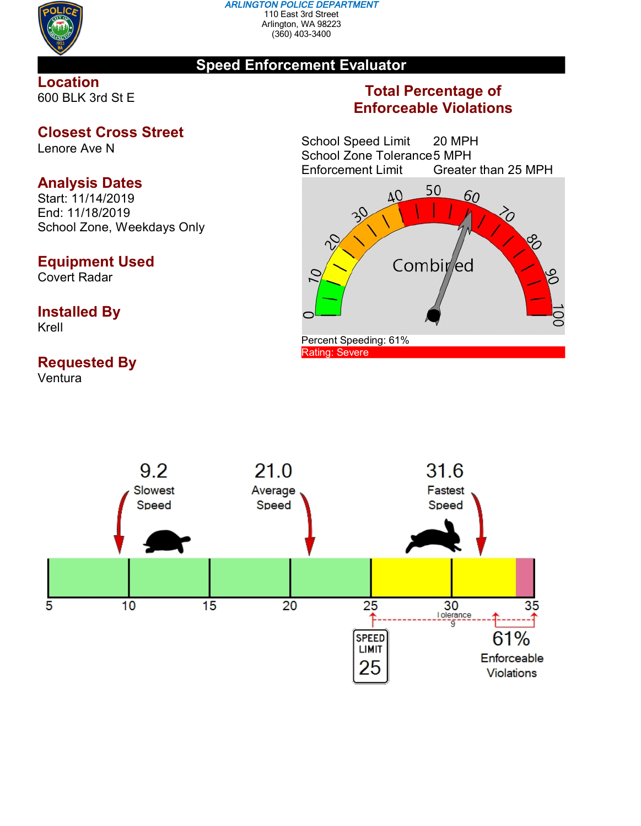

#### *ARLINGTON POLICE DEPARTMENT* 110 East 3rd Street Arlington, WA 98223 (360) 403-3400

## **Speed Enforcement Evaluator**

### **Location** 600 BLK 3rd St E

## **Closest Cross Street**

Lenore Ave N

# **Analysis Dates**

Start: 11/14/2019 End: 11/18/2019 School Zone, Weekdays Only

# **Equipment Used**

Covert Radar

# **Installed By**

Krell

# **Requested By**

Ventura

# **Total Percentage of Enforceable Violations**

School Speed Limit 20 MPH School Zone Tolerance 5 MPH<br>Enforcement Limit Greater Greater than 25 MPH